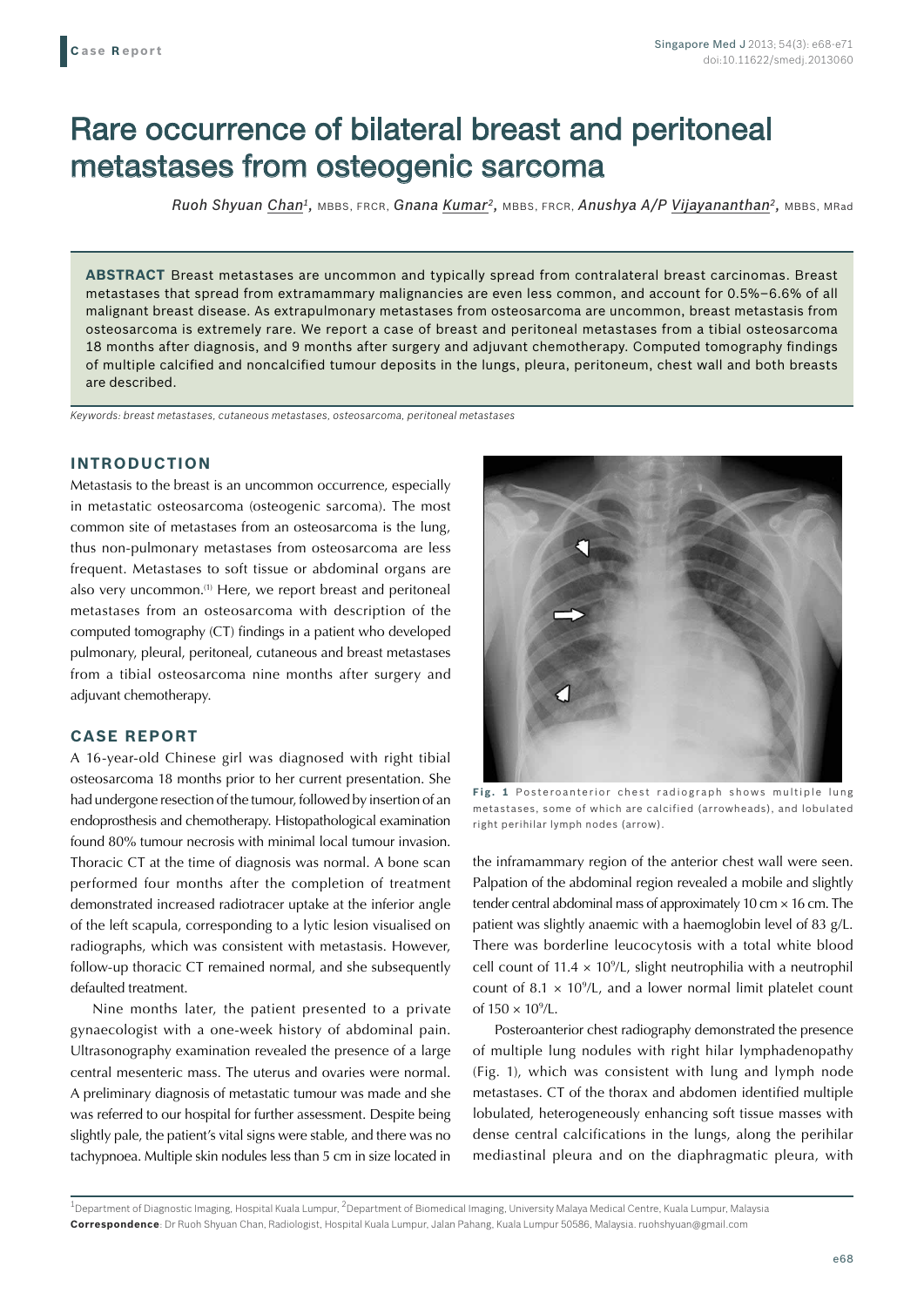# Rare occurrence of bilateral breast and peritoneal metastases from osteogenic sarcoma

*Ruoh Shyuan Chan1,* MBBS, FRCR, *Gnana Kumar2,* MBBS, FRCR, *Anushya A/P Vijayananthan2,* MBBS, MRad

**ABSTRACT** Breast metastases are uncommon and typically spread from contralateral breast carcinomas. Breast metastases that spread from extramammary malignancies are even less common, and account for 0.5%–6.6% of all malignant breast disease. As extrapulmonary metastases from osteosarcoma are uncommon, breast metastasis from osteosarcoma is extremely rare. We report a case of breast and peritoneal metastases from a tibial osteosarcoma 18 months after diagnosis, and 9 months after surgery and adjuvant chemotherapy. Computed tomography findings of multiple calcified and noncalcified tumour deposits in the lungs, pleura, peritoneum, chest wall and both breasts are described.

*Keywords: breast metastases, cutaneous metastases, osteosarcoma, peritoneal metastases*

### **INTRODUCTION**

Metastasis to the breast is an uncommon occurrence, especially in metastatic osteosarcoma (osteogenic sarcoma). The most common site of metastases from an osteosarcoma is the lung, thus non-pulmonary metastases from osteosarcoma are less frequent. Metastases to soft tissue or abdominal organs are also very uncommon.<sup>(1)</sup> Here, we report breast and peritoneal metastases from an osteosarcoma with description of the computed tomography (CT) findings in a patient who developed pulmonary, pleural, peritoneal, cutaneous and breast metastases from a tibial osteosarcoma nine months after surgery and adjuvant chemotherapy.

### **CASE REPORT**

A 16-year-old Chinese girl was diagnosed with right tibial osteosarcoma 18 months prior to her current presentation. She had undergone resection of the tumour, followed by insertion of an endoprosthesis and chemotherapy. Histopathological examination found 80% tumour necrosis with minimal local tumour invasion. Thoracic CT at the time of diagnosis was normal. A bone scan performed four months after the completion of treatment demonstrated increased radiotracer uptake at the inferior angle of the left scapula, corresponding to a lytic lesion visualised on radiographs, which was consistent with metastasis. However, follow-up thoracic CT remained normal, and she subsequently defaulted treatment.

Nine months later, the patient presented to a private gynaecologist with a one-week history of abdominal pain. Ultrasonography examination revealed the presence of a large central mesenteric mass. The uterus and ovaries were normal. A preliminary diagnosis of metastatic tumour was made and she was referred to our hospital for further assessment. Despite being slightly pale, the patient's vital signs were stable, and there was no tachypnoea. Multiple skin nodules less than 5 cm in size located in



**Fig. 1** Posteroanterior chest radiograph shows multiple lung metastases, some of which are calcified (arrowheads), and lobulated right perihilar lymph nodes (arrow).

the inframammary region of the anterior chest wall were seen. Palpation of the abdominal region revealed a mobile and slightly tender central abdominal mass of approximately 10 cm × 16 cm. The patient was slightly anaemic with a haemoglobin level of 83 g/L. There was borderline leucocytosis with a total white blood cell count of  $11.4 \times 10^9$ /L, slight neutrophilia with a neutrophil count of 8.1  $\times$  10<sup>9</sup>/L, and a lower normal limit platelet count of  $150 \times 10^9$ /L.

Posteroanterior chest radiography demonstrated the presence of multiple lung nodules with right hilar lymphadenopathy (Fig. 1), which was consistent with lung and lymph node metastases. CT of the thorax and abdomen identified multiple lobulated, heterogeneously enhancing soft tissue masses with dense central calcifications in the lungs, along the perihilar mediastinal pleura and on the diaphragmatic pleura, with

<sup>&</sup>lt;sup>1</sup>Department of Diagnostic Imaging, Hospital Kuala Lumpur, <sup>2</sup>Department of Biomedical Imaging, University Malaya Medical Centre, Kuala Lumpur, Malaysia **Correspondence**: Dr Ruoh Shyuan Chan, Radiologist, Hospital Kuala Lumpur, Jalan Pahang, Kuala Lumpur 50586, Malaysia. ruohshyuan@gmail.com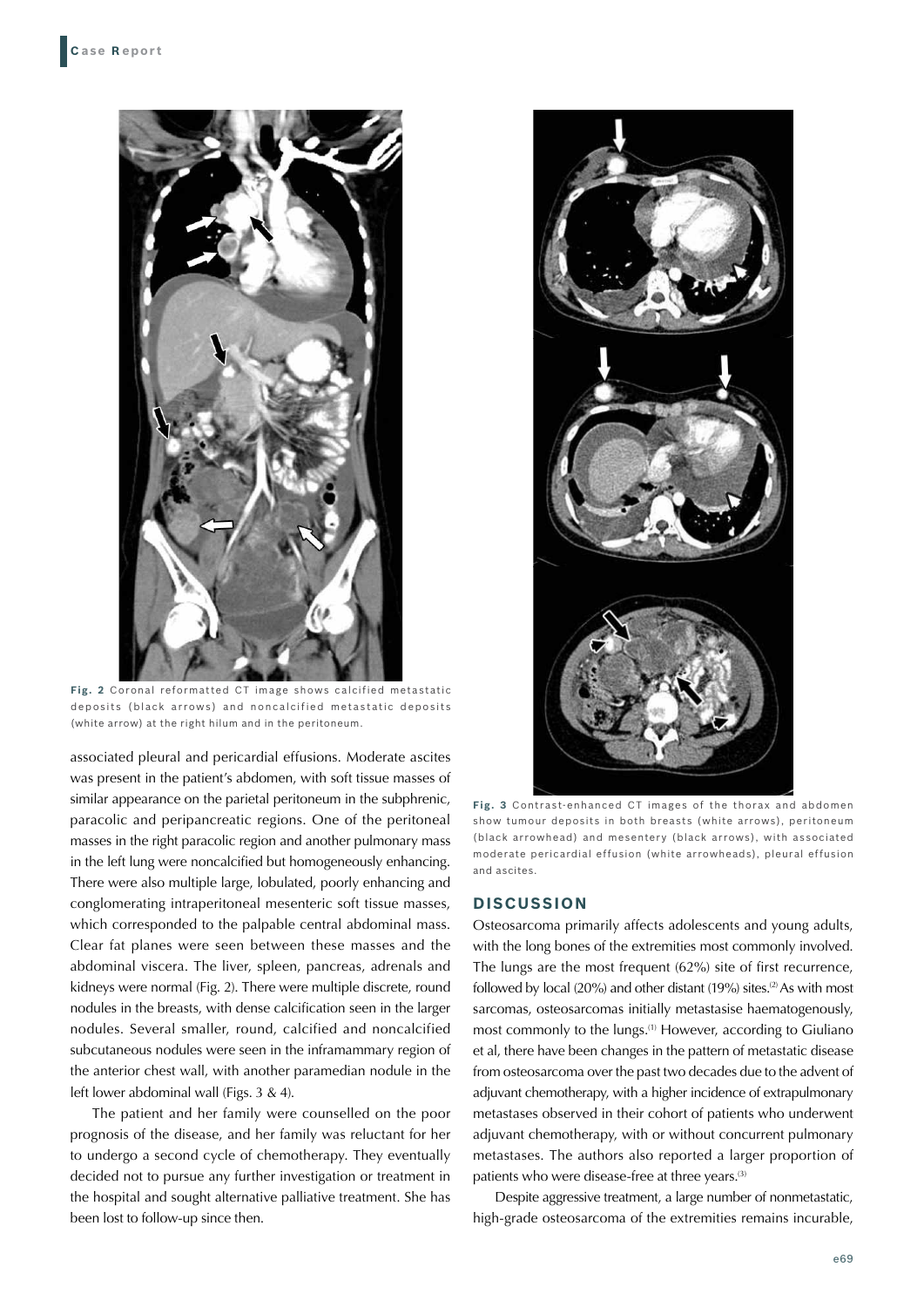

**Fig. 2** Coronal reformatted CT image shows calcified metastatic deposits (black arrows) and noncalcified metastatic deposits (white arrow) at the right hilum and in the peritoneum.

associated pleural and pericardial effusions. Moderate ascites was present in the patient's abdomen, with soft tissue masses of similar appearance on the parietal peritoneum in the subphrenic, paracolic and peripancreatic regions. One of the peritoneal masses in the right paracolic region and another pulmonary mass in the left lung were noncalcified but homogeneously enhancing. There were also multiple large, lobulated, poorly enhancing and conglomerating intraperitoneal mesenteric soft tissue masses, which corresponded to the palpable central abdominal mass. Clear fat planes were seen between these masses and the abdominal viscera. The liver, spleen, pancreas, adrenals and kidneys were normal (Fig. 2). There were multiple discrete, round nodules in the breasts, with dense calcification seen in the larger nodules. Several smaller, round, calcified and noncalcified subcutaneous nodules were seen in the inframammary region of the anterior chest wall, with another paramedian nodule in the left lower abdominal wall (Figs. 3 & 4).

The patient and her family were counselled on the poor prognosis of the disease, and her family was reluctant for her to undergo a second cycle of chemotherapy. They eventually decided not to pursue any further investigation or treatment in the hospital and sought alternative palliative treatment. She has been lost to follow-up since then.



**Fig. 3** Contrast-enhanced CT images of the thorax and abdomen show tumour deposits in both breasts (white arrows), peritoneum (black arrowhead) and mesentery (black arrows), with associated moderate pericardial effusion (white arrowheads), pleural effusion and ascites.

#### **DISCUSSION**

Osteosarcoma primarily affects adolescents and young adults, with the long bones of the extremities most commonly involved. The lungs are the most frequent (62%) site of first recurrence, followed by local (20%) and other distant (19%) sites.<sup>(2)</sup> As with most sarcomas, osteosarcomas initially metastasise haematogenously, most commonly to the lungs.<sup>(1)</sup> However, according to Giuliano et al, there have been changes in the pattern of metastatic disease from osteosarcoma over the past two decades due to the advent of adjuvant chemotherapy, with a higher incidence of extrapulmonary metastases observed in their cohort of patients who underwent adjuvant chemotherapy, with or without concurrent pulmonary metastases. The authors also reported a larger proportion of patients who were disease-free at three years.<sup>(3)</sup>

Despite aggressive treatment, a large number of nonmetastatic, high-grade osteosarcoma of the extremities remains incurable,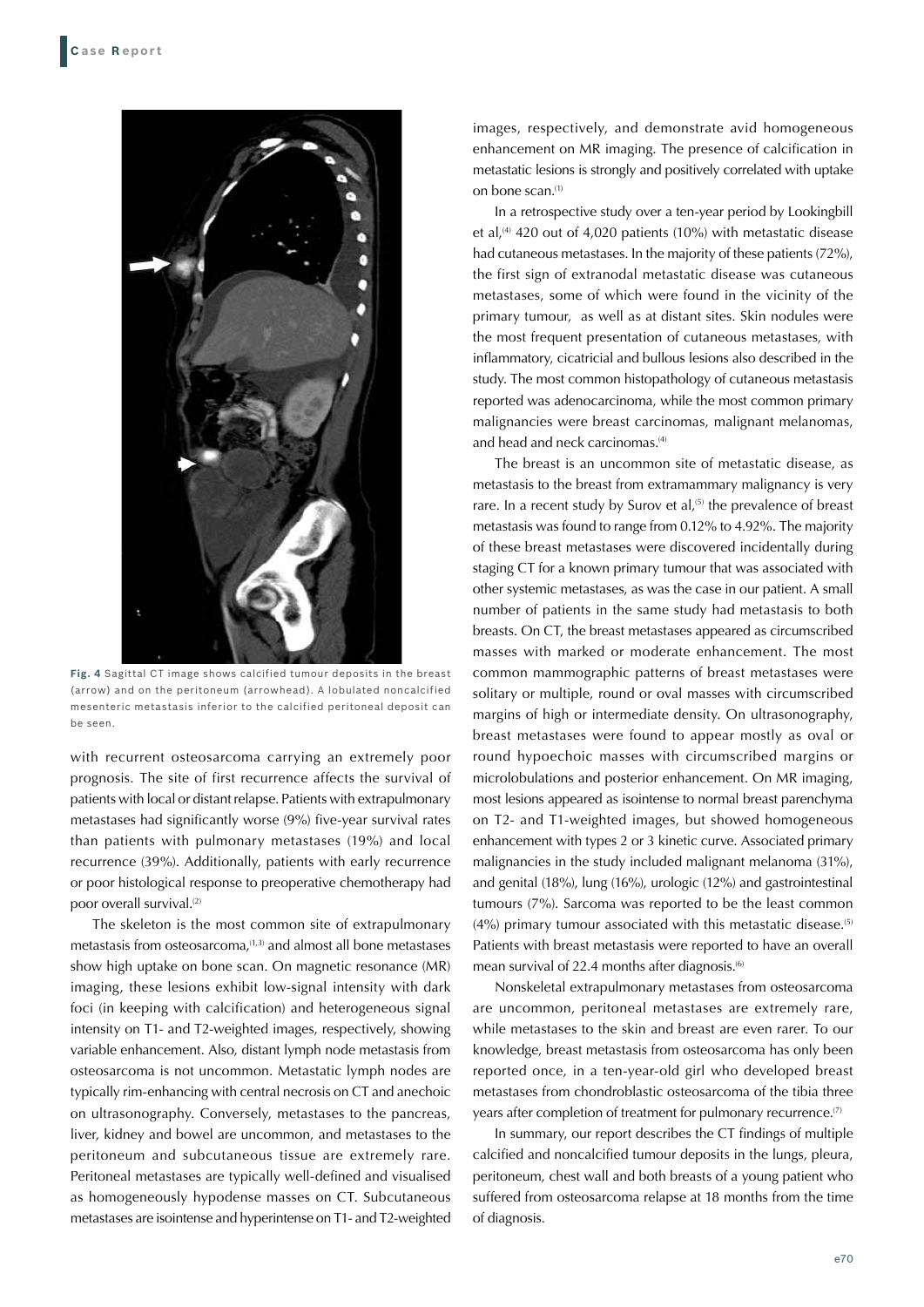

**Fig. 4** Sagittal CT image shows calcified tumour deposits in the breast (arrow) and on the peritoneum (arrowhead). A lobulated noncalcified mesenteric metastasis inferior to the calcified peritoneal deposit can be seen.

with recurrent osteosarcoma carrying an extremely poor prognosis. The site of first recurrence affects the survival of patients with local or distant relapse. Patients with extrapulmonary metastases had significantly worse (9%) five-year survival rates than patients with pulmonary metastases (19%) and local recurrence (39%). Additionally, patients with early recurrence or poor histological response to preoperative chemotherapy had poor overall survival.<sup>(2)</sup>

The skeleton is the most common site of extrapulmonary metastasis from osteosarcoma. $(1,3)$  and almost all bone metastases show high uptake on bone scan. On magnetic resonance (MR) imaging, these lesions exhibit low-signal intensity with dark foci (in keeping with calcification) and heterogeneous signal intensity on T1- and T2-weighted images, respectively, showing variable enhancement. Also, distant lymph node metastasis from osteosarcoma is not uncommon. Metastatic lymph nodes are typically rim-enhancing with central necrosis on CT and anechoic on ultrasonography. Conversely, metastases to the pancreas, liver, kidney and bowel are uncommon, and metastases to the peritoneum and subcutaneous tissue are extremely rare. Peritoneal metastases are typically well-defined and visualised as homogeneously hypodense masses on CT. Subcutaneous metastases are isointense and hyperintense on T1- and T2-weighted images, respectively, and demonstrate avid homogeneous enhancement on MR imaging. The presence of calcification in metastatic lesions is strongly and positively correlated with uptake on bone scan.(1)

In a retrospective study over a ten-year period by Lookingbill et al,<sup>(4)</sup> 420 out of 4,020 patients (10%) with metastatic disease had cutaneous metastases. In the majority of these patients (72%), the first sign of extranodal metastatic disease was cutaneous metastases, some of which were found in the vicinity of the primary tumour, as well as at distant sites. Skin nodules were the most frequent presentation of cutaneous metastases, with inflammatory, cicatricial and bullous lesions also described in the study. The most common histopathology of cutaneous metastasis reported was adenocarcinoma, while the most common primary malignancies were breast carcinomas, malignant melanomas, and head and neck carcinomas.(4)

The breast is an uncommon site of metastatic disease, as metastasis to the breast from extramammary malignancy is very rare. In a recent study by Surov et al,<sup>(5)</sup> the prevalence of breast metastasis was found to range from 0.12% to 4.92%. The majority of these breast metastases were discovered incidentally during staging CT for a known primary tumour that was associated with other systemic metastases, as was the case in our patient. A small number of patients in the same study had metastasis to both breasts. On CT, the breast metastases appeared as circumscribed masses with marked or moderate enhancement. The most common mammographic patterns of breast metastases were solitary or multiple, round or oval masses with circumscribed margins of high or intermediate density. On ultrasonography, breast metastases were found to appear mostly as oval or round hypoechoic masses with circumscribed margins or microlobulations and posterior enhancement. On MR imaging, most lesions appeared as isointense to normal breast parenchyma on T2- and T1-weighted images, but showed homogeneous enhancement with types 2 or 3 kinetic curve. Associated primary malignancies in the study included malignant melanoma (31%), and genital (18%), lung (16%), urologic (12%) and gastrointestinal tumours (7%). Sarcoma was reported to be the least common  $(4%)$  primary tumour associated with this metastatic disease.<sup>(5)</sup> Patients with breast metastasis were reported to have an overall mean survival of 22.4 months after diagnosis. $^{(6)}$ 

Nonskeletal extrapulmonary metastases from osteosarcoma are uncommon, peritoneal metastases are extremely rare, while metastases to the skin and breast are even rarer. To our knowledge, breast metastasis from osteosarcoma has only been reported once, in a ten-year-old girl who developed breast metastases from chondroblastic osteosarcoma of the tibia three years after completion of treatment for pulmonary recurrence.<sup>(7)</sup>

In summary, our report describes the CT findings of multiple calcified and noncalcified tumour deposits in the lungs, pleura, peritoneum, chest wall and both breasts of a young patient who suffered from osteosarcoma relapse at 18 months from the time of diagnosis.